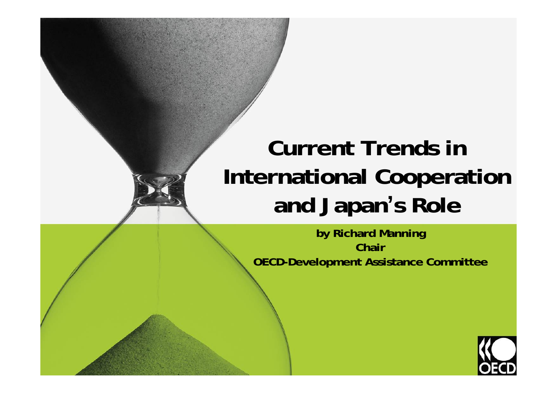## **Current Trends in International Cooperation and Japan 's Role**

**by Richard Manning Chair OECD-Development Assistance Committee**

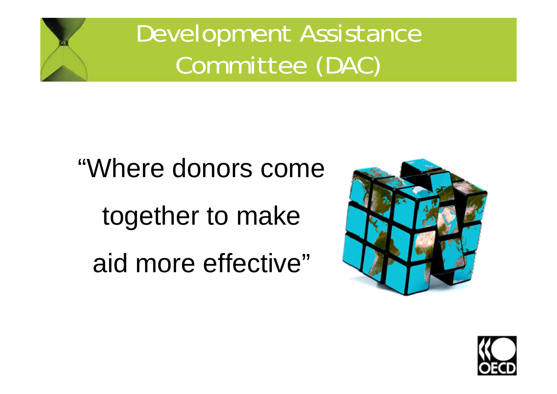Development Assistance Committee (DAC)

# "Where donors come together to make aid more effective"



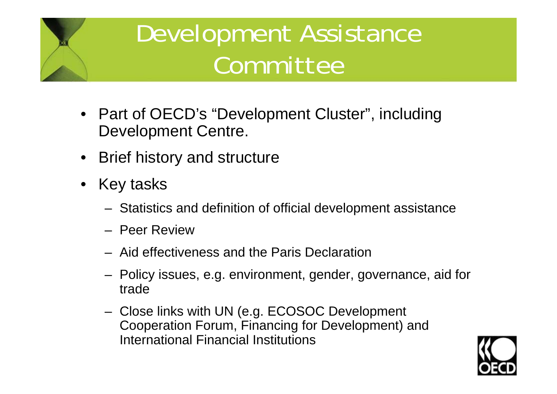# Development Assistance Committee

- Part of OECD's "Development Cluster", including Development Centre.
- Brief history and structure
- $\bullet$  Key tasks
	- Statistics and definition of official development assistance
	- Peer Review
	- Aid effectiveness and the Paris Declaration
	- Policy issues, e.g. environment, gender, governance, aid for trade
	- Close links with UN (e.g. ECOSOC Development Cooperation Forum, Financing for Development) and International Financial Institutions

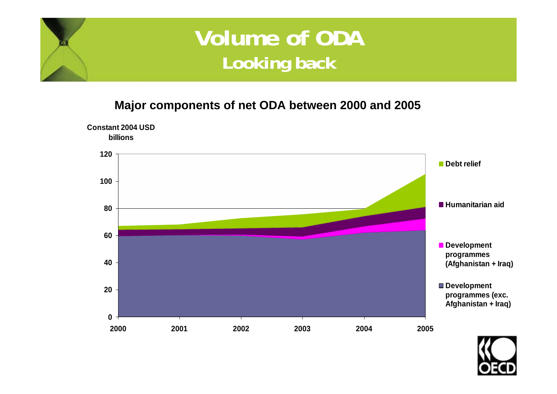### **Volume of ODA Looking back**

#### **Major components of net ODA between 2000 and 2005**



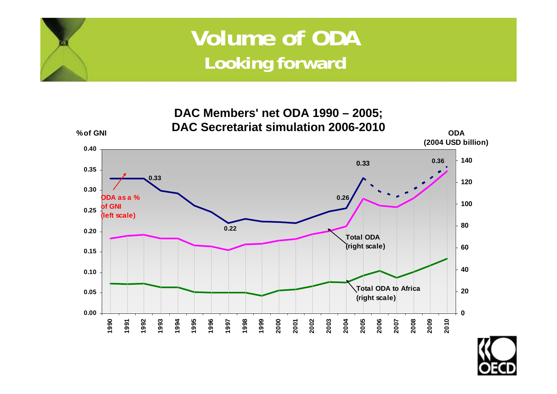### **Volume of ODA Looking forward**



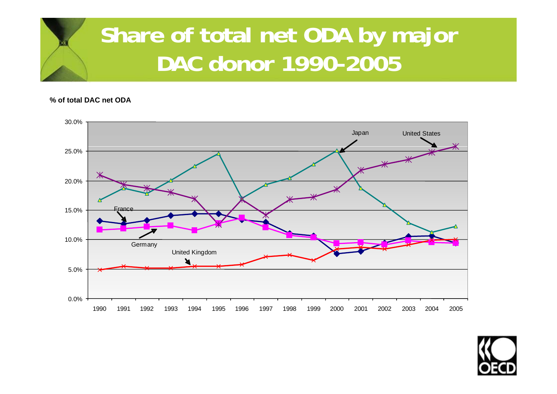### **Share of total net ODA by major DAC donor 1990-2005**

**% of total DAC net ODA**



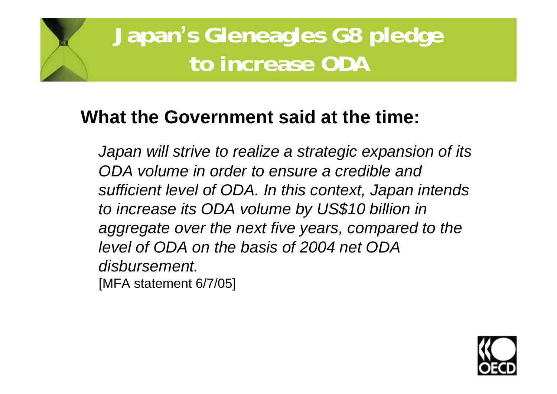### **Japan's Gleneagles G8 pledge to increase ODA**

#### **What the Government said at the time:**

*Japan will strive to realize a strategic expansion of its ODA volume in order to ensure a credible and sufficient level of ODA. In this context, Japan intends to increase its ODA volume by US\$10 billion in aggregate over the next five years, compared to the level of ODA on the basis of 2004 net ODA disbursement.*  [MFA statement 6/7/05]

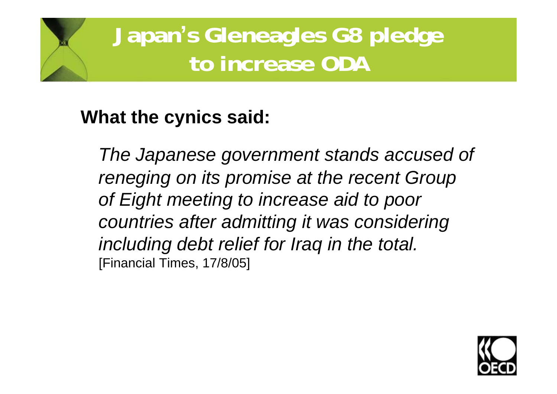**Japan's Gleneagles G8 pledge to increase ODA**

#### **What the cynics said:**

*The Japanese government stands accused of reneging on its promise at the recent Group of Eight meeting to increase aid to poor countries after admitting it was considering including debt relief for Iraq in the total.* [Financial Times, 17/8/05]

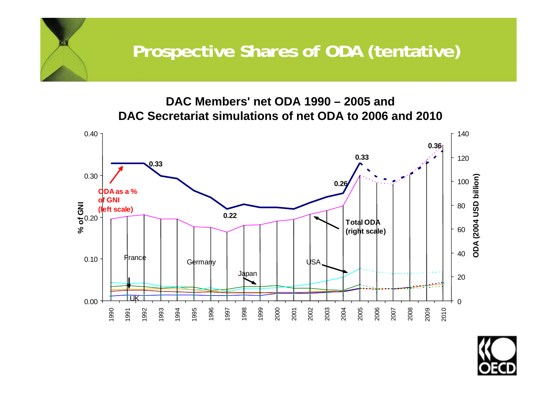#### **Prospective Shares of ODA (tentative)**

#### **DAC Members' net ODA 1990 – 2005 and DAC Secretariat simulations of net ODA to 2006 and 2010**



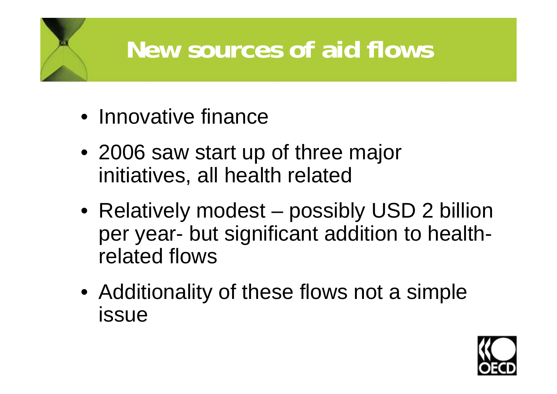# **New sources of aid flows**

- Innovative finance
- 2006 saw start up of three major initiatives, all health related
- Relatively modest possibly USD 2 billion per year- but significant addition to healthrelated flows
- Additionality of these flows not a simple issue

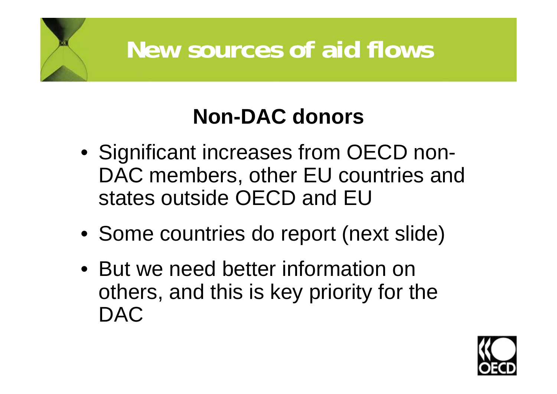## **New sources of aid flows**

### **Non-DAC donors**

- Significant increases from OECD non-DAC members, other EU countries and states outside OECD and EU
- Some countries do report (next slide)
- But we need better information on others, and this is key priority for the DAC

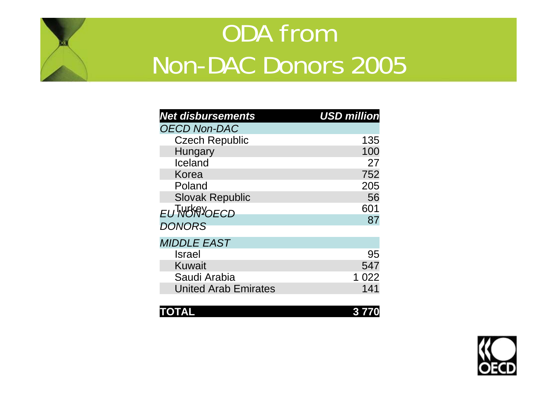# ODA from Non-DAC Donors 2005

| <b>Net disbursements</b>    | <b>USD million</b> |
|-----------------------------|--------------------|
| <b>OECD Non-DAC</b>         |                    |
| <b>Czech Republic</b>       | 135                |
| Hungary                     | 100                |
| Iceland                     | 27                 |
| Korea                       | 752                |
| Poland                      | 205                |
| <b>Slovak Republic</b>      | 56                 |
| <b>EUTWORNOECD</b>          | 601                |
| <b>DONORS</b>               | 87                 |
|                             |                    |
| <b>MIDDLE EAST</b>          |                    |
| <b>Israel</b>               | 95                 |
| <b>Kuwait</b>               | 547                |
| Saudi Arabia                | 1 022              |
| <b>United Arab Emirates</b> | 141                |

| TOTAL | 3770 |
|-------|------|
|       |      |

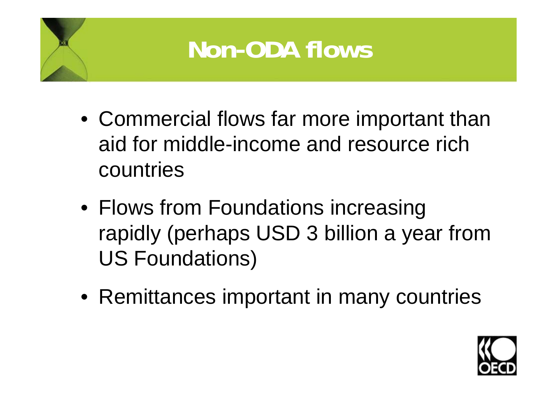

- Commercial flows far more important than aid for middle-income and resource rich countries
- Flows from Foundations increasing rapidly (perhaps USD 3 billion a year from US Foundations)
- Remittances important in many countries

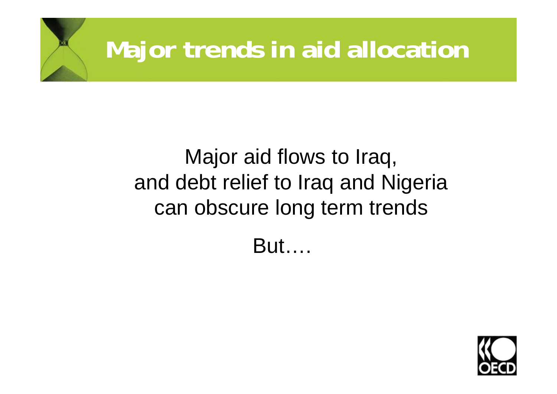# **Major trends in aid allocation**

### Major aid flows to Iraq, and debt relief to Iraq and Nigeria can obscure long term trends

But….

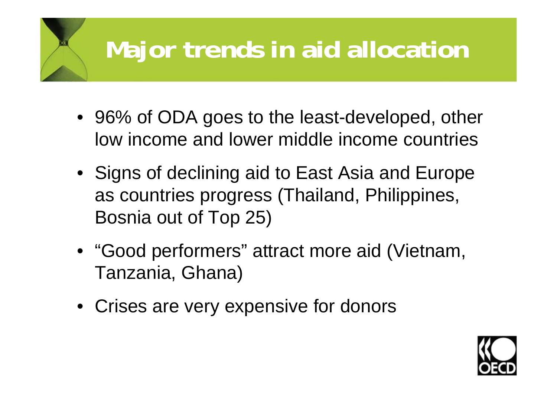# **Major trends in aid allocation**

- 96% of ODA goes to the least-developed, other low income and lower middle income countries
- Signs of declining aid to East Asia and Europe as countries progress (Thailand, Philippines, Bosnia out of Top 25)
- "Good performers" attract more aid (Vietnam, Tanzania, Ghana)
- Crises are very expensive for donors

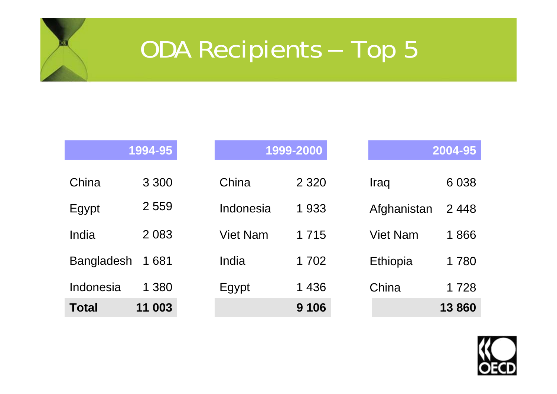#### ODA Recipients Top 5

|                   | 1994-95 |          | 1999-2000         |                 | 2004-95 |
|-------------------|---------|----------|-------------------|-----------------|---------|
| China             | 3 3 0 0 | China    | 2 3 2 0           | Iraq            | 6 0 38  |
| Egypt             | 2 5 5 9 |          | Indonesia<br>1933 | Afghanistan     | 2448    |
| India             | 2 0 8 3 | Viet Nam | 1 7 1 5           | <b>Viet Nam</b> | 1866    |
| <b>Bangladesh</b> | 1681    | India    | 1 702             | <b>Ethiopia</b> | 1780    |
| Indonesia         | 1 380   | Egypt    | 1 4 3 6           | China           | 1728    |
| <b>Total</b>      | 11 003  |          | 9 1 0 6           |                 | 13860   |

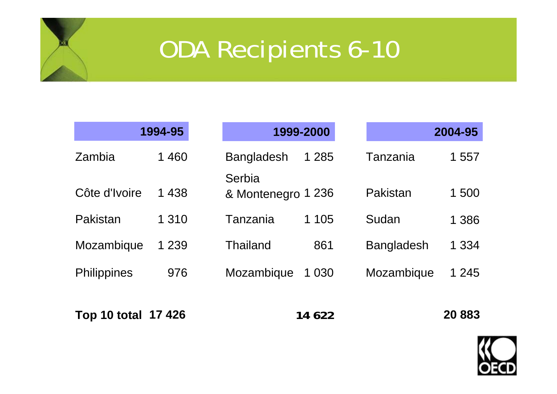# ODA Recipients 6-10

|                    | 1994-95 |                              | 1999-2000 |                   | 2004-95 |
|--------------------|---------|------------------------------|-----------|-------------------|---------|
| Zambia             | 1 460   | <b>Bangladesh</b>            | 1 2 8 5   | Tanzania          | 1 557   |
| Côte d'Ivoire      | 1 4 3 8 | Serbia<br>& Montenegro 1 236 |           | Pakistan          | 1500    |
| Pakistan           | 1 3 1 0 | Tanzania                     | 1 1 0 5   | Sudan             | 1 3 8 6 |
| Mozambique         | 1 2 3 9 | <b>Thailand</b>              | 861       | <b>Bangladesh</b> | 1 3 3 4 |
| <b>Philippines</b> | 976     | Mozambique                   | 1 0 3 0   | Mozambique        | 1 2 4 5 |
| Top 10 total       | 17 426  |                              | 14 622    |                   | 20 883  |

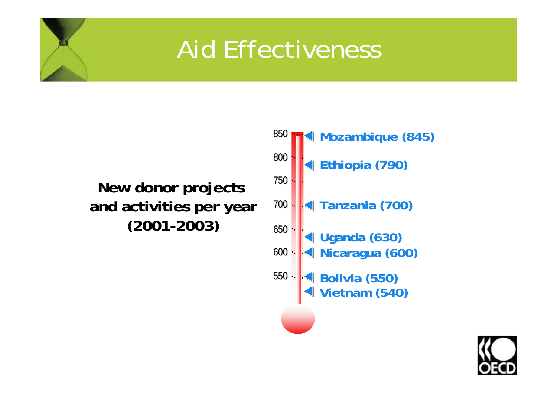## Aid Effectiveness

#### **New donor projects and activities per year (2001-2003)**



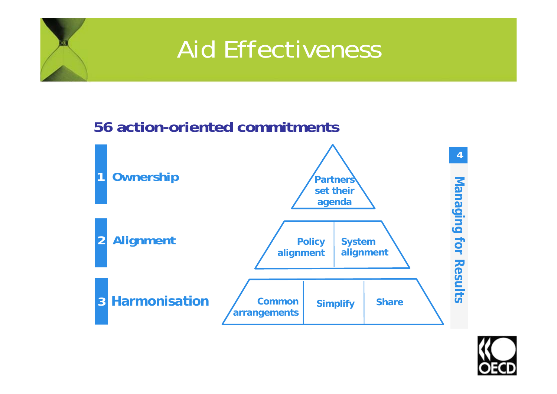## Aid Effectiveness

#### **56 action-oriented commitments**



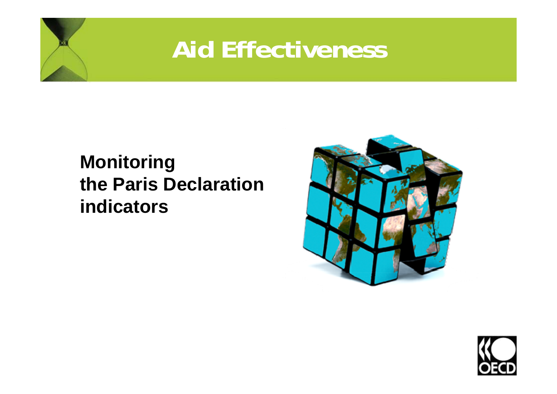## **Aid Effectiveness**

#### **Monitoring the Paris Declarationindicators**



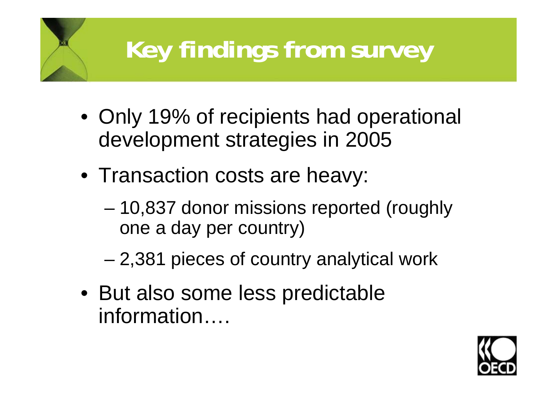# **Key findings from survey**

- Only 19% of recipients had operational development strategies in 2005
- Transaction costs are heavy:
	- – 10,837 donor missions reported (roughly one a day per country)
	- and the state of the state 2,381 pieces of country analytical work
- But also some less predictable information….

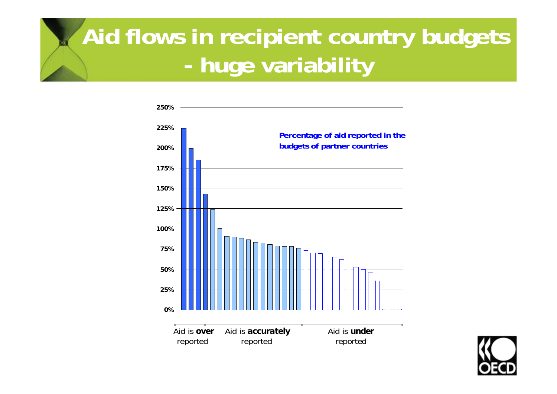#### **Aid flows in recipient country budgets huge variability**



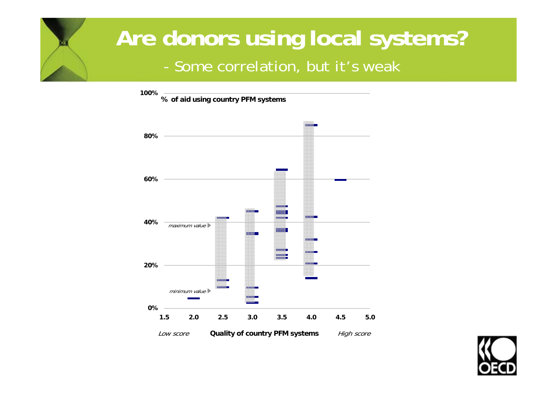### **Are donors using local systems?** - Some correlation, but it's weak



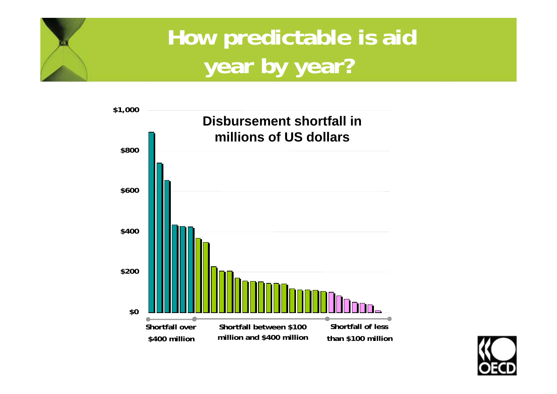### **How predictable is aid year by year?**



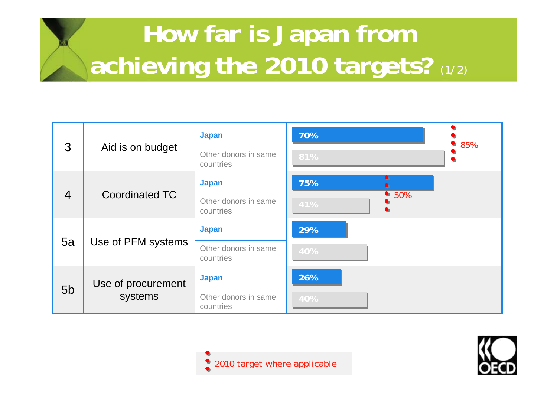# **How far is Japan from achieving the 2010 targets?** (1/2)

| 3              |                               | <b>Japan</b>                      | 70%         | 85%<br>D  |
|----------------|-------------------------------|-----------------------------------|-------------|-----------|
|                | Aid is on budget              | Other donors in same<br>countries | 81%         | $\bullet$ |
| $\overline{4}$ | <b>Coordinated TC</b>         | <b>Japan</b>                      | 75%         |           |
|                |                               | Other donors in same<br>countries | •50%<br>41% |           |
|                |                               | <b>Japan</b>                      | 29%         |           |
| 5a             | Use of PFM systems            | Other donors in same<br>countries | 40%         |           |
| 5 <sub>b</sub> | Use of procurement<br>systems | <b>Japan</b>                      | 26%         |           |
|                |                               | Other donors in same<br>countries | 40%         |           |



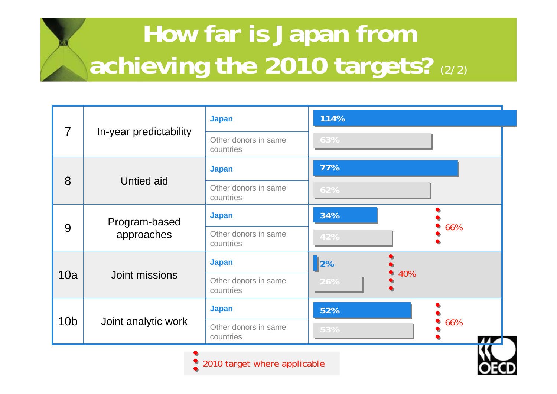# **How far is Japan from achieving the 2010 targets?** (2/2)

| $\overline{7}$  | In-year predictability | <b>Japan</b>                      | 114%             |     |
|-----------------|------------------------|-----------------------------------|------------------|-----|
|                 |                        | Other donors in same<br>countries | 63%              |     |
|                 |                        | <b>Japan</b>                      | 77%              |     |
| 8               | <b>Untied aid</b>      | Other donors in same<br>countries | 62%              |     |
| 9               | Program-based          | <b>Japan</b>                      | 34%              |     |
|                 | approaches             | Other donors in same<br>countries | 42%              | 66% |
| 10a             | Joint missions         | <b>Japan</b>                      | $\vert$ 2%       |     |
|                 |                        | Other donors in same<br>countries | 40%<br>U)<br>26% |     |
| 10 <sub>b</sub> | Joint analytic work    | <b>Japan</b>                      | 52%              |     |
|                 |                        | Other donors in same<br>countries | 53%              | 66% |
|                 |                        |                                   |                  |     |

2010 target where applicable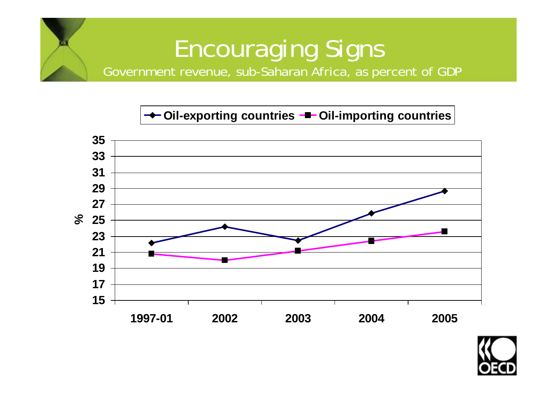#### Encouraging Signs Government revenue, sub-Saharan Africa, as percent of GDP

#### **← Oil-exporting countries –■ Oil-importing countries**



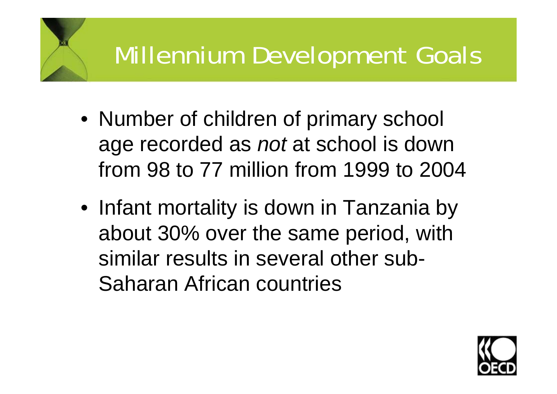# Millennium Development Goals

- Number of children of primary school age recorded as *not* at school is down from 98 to 77 million from 1999 to 2004
- Infant mortality is down in Tanzania by about 30% over the same period, with similar results in several other sub-Saharan African countries